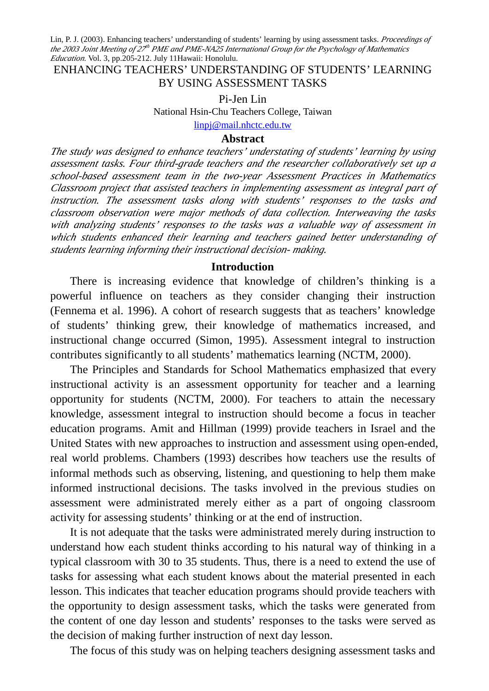ENHANCING TEACHERS' UNDERSTANDING OF STUDENTS' LEARNING BY USING ASSESSMENT TASKS

Pi-Jen Lin

National Hsin-Chu Teachers College, Taiwan

linpj@mail.nhctc.edu.tw

### **Abstract**

*The study was designed to enhance teachers' understating of students' learning by using assessment tasks. Four third-grade teachers and the researcher collaboratively set up a school-based assessment team in the two-year Assessment Practices in Mathematics Classroom project that assisted teachers in implementing assessment as integral part of instruction. The assessment tasks along with students' responses to the tasks and classroom observation were major methods of data collection. Interweaving the tasks with analyzing students' responses to the tasks was a valuable way of assessment in which students enhanced their learning and teachers gained better understanding of students learning informing their instructional decision- making.* 

# **Introduction**

There is increasing evidence that knowledge of children's thinking is a powerful influence on teachers as they consider changing their instruction (Fennema et al. 1996). A cohort of research suggests that as teachers' knowledge of students' thinking grew, their knowledge of mathematics increased, and instructional change occurred (Simon, 1995). Assessment integral to instruction contributes significantly to all students'mathematics learning (NCTM, 2000).

The Principles and Standards for School Mathematics emphasized that every instructional activity is an assessment opportunity for teacher and a learning opportunity for students (NCTM, 2000). For teachers to attain the necessary knowledge, assessment integral to instruction should become a focus in teacher education programs. Amit and Hillman (1999) provide teachers in Israel and the United States with new approaches to instruction and assessment using open-ended, real world problems. Chambers (1993) describes how teachers use the results of informal methods such as observing, listening, and questioning to help them make informed instructional decisions. The tasks involved in the previous studies on assessment were administrated merely either as a part of ongoing classroom activity for assessing students' thinking or at the end of instruction.

It is not adequate that the tasks were administrated merely during instruction to understand how each student thinks according to his natural way of thinking in a typical classroom with 30 to 35 students. Thus, there is a need to extend the use of tasks for assessing what each student knows about the material presented in each lesson. This indicates that teacher education programs should provide teachers with the opportunity to design assessment tasks, which the tasks were generated from the content of one day lesson and students' responses to the tasks were served as the decision of making further instruction of next day lesson.

The focus of this study was on helping teachers designing assessment tasks and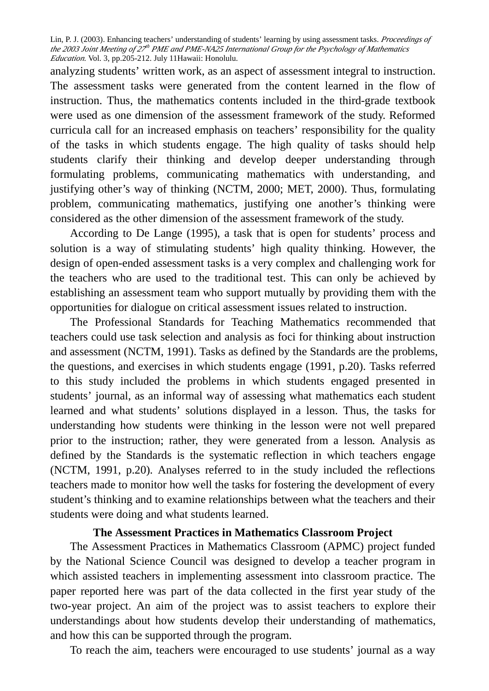analyzing students' written work, as an aspect of assessment integral to instruction. The assessment tasks were generated from the content learned in the flow of instruction. Thus, the mathematics contents included in the third-grade textbook were used as one dimension of the assessment framework of the study. Reformed curricula call for an increased emphasis on teachers' responsibility for the quality of the tasks in which students engage. The high quality of tasks should help students clarify their thinking and develop deeper understanding through formulating problems, communicating mathematics with understanding, and justifying other's way of thinking (NCTM, 2000; MET, 2000). Thus, formulating problem, communicating mathematics, justifying one another's thinking were considered as the other dimension of the assessment framework of the study.

According to De Lange (1995), a task that is open for students' process and solution is a way of stimulating students' high quality thinking. However, the design of open-ended assessment tasks is a very complex and challenging work for the teachers who are used to the traditional test. This can only be achieved by establishing an assessment team who support mutually by providing them with the opportunities for dialogue on critical assessment issues related to instruction.

The Professional Standards for Teaching Mathematics recommended that teachers could use task selection and analysis as foci for thinking about instruction and assessment (NCTM, 1991). Tasks as defined by the Standards are the problems, the questions, and exercises in which students engage (1991, p.20). Tasks referred to this study included the problems in which students engaged presented in students' journal, as an informal way of assessing what mathematics each student learned and what students' solutions displayed in a lesson. Thus, the tasks for understanding how students were thinking in the lesson were not well prepared prior to the instruction; rather, they were generated from a lesson. Analysis as defined by the Standards is the systematic reflection in which teachers engage (NCTM, 1991, p.20). Analyses referred to in the study included the reflections teachers made to monitor how well the tasks for fostering the development of every student's thinking and to examine relationships between what the teachers and their students were doing and what students learned.

# **The Assessment Practices in Mathematics Classroom Project**

The Assessment Practices in Mathematics Classroom (APMC) project funded by the National Science Council was designed to develop a teacher program in which assisted teachers in implementing assessment into classroom practice. The paper reported here was part of the data collected in the first year study of the two-year project. An aim of the project was to assist teachers to explore their understandings about how students develop their understanding of mathematics, and how this can be supported through the program.

To reach the aim, teachers were encouraged to use students' journal as a way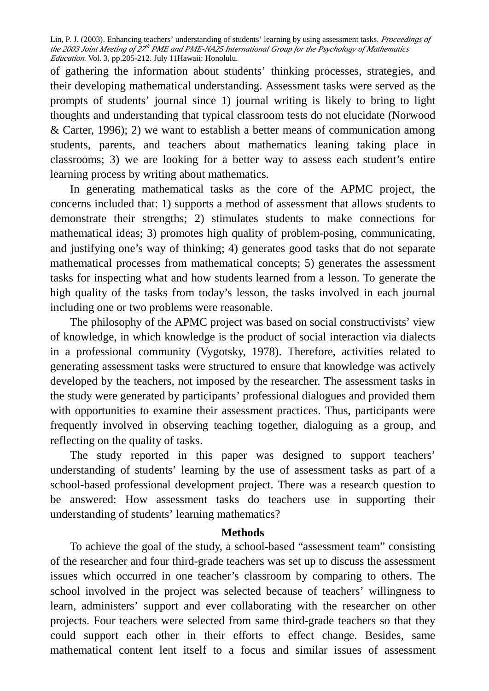of gathering the information about students' thinking processes, strategies, and their developing mathematical understanding. Assessment tasks were served as the prompts of students' journal since 1) journal writing is likely to bring to light thoughts and understanding that typical classroom tests do not elucidate (Norwood & Carter, 1996); 2) we want to establish a better means of communication among students, parents, and teachers about mathematics leaning taking place in classrooms; 3) we are looking for a better way to assess each student's entire learning process by writing about mathematics.

In generating mathematical tasks as the core of the APMC project, the concerns included that: 1) supports a method of assessment that allows students to demonstrate their strengths; 2) stimulates students to make connections for mathematical ideas; 3) promotes high quality of problem-posing, communicating, and justifying one's way of thinking; 4) generates good tasks that do not separate mathematical processes from mathematical concepts; 5) generates the assessment tasks for inspecting what and how students learned from a lesson. To generate the high quality of the tasks from today's lesson, the tasks involved in each journal including one or two problems were reasonable.

The philosophy of the APMC project was based on social constructivists' view of knowledge, in which knowledge is the product of social interaction via dialects in a professional community (Vygotsky, 1978). Therefore, activities related to generating assessment tasks were structured to ensure that knowledge was actively developed by the teachers, not imposed by the researcher. The assessment tasks in the study were generated by participants' professional dialogues and provided them with opportunities to examine their assessment practices. Thus, participants were frequently involved in observing teaching together, dialoguing as a group, and reflecting on the quality of tasks.

The study reported in this paper was designed to support teachers' understanding of students' learning by the use of assessment tasks as part of a school-based professional development project. There was a research question to be answered: How assessment tasks do teachers use in supporting their understanding of students' learning mathematics?

# **Methods**

To achieve the goal of the study, a school-based "assessment team" consisting of the researcher and four third-grade teachers was set up to discuss the assessment issues which occurred in one teacher's classroom by comparing to others. The school involved in the project was selected because of teachers' willingness to learn, administers' support and ever collaborating with the researcher on other projects. Four teachers were selected from same third-grade teachers so that they could support each other in their efforts to effect change. Besides, same mathematical content lent itself to a focus and similar issues of assessment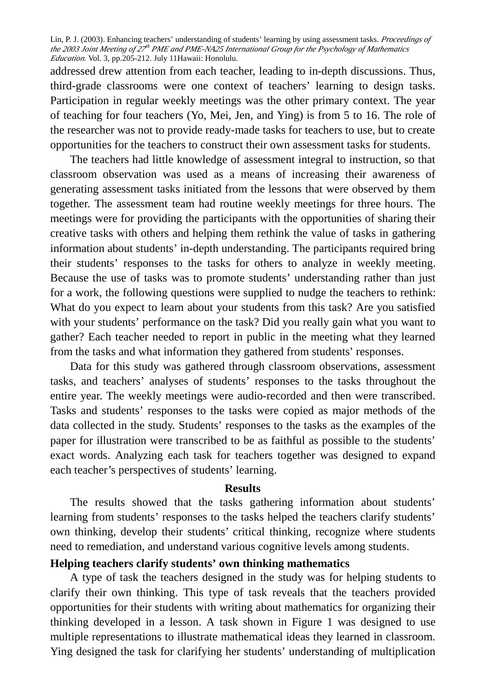addressed drew attention from each teacher, leading to in-depth discussions. Thus, third-grade classrooms were one context of teachers' learning to design tasks. Participation in regular weekly meetings was the other primary context. The year of teaching for four teachers (Yo, Mei, Jen, and Ying) is from 5 to 16. The role of the researcher was not to provide ready-made tasks for teachers to use, but to create opportunities for the teachers to construct their own assessment tasks for students.

The teachers had little knowledge of assessment integral to instruction, so that classroom observation was used as a means of increasing their awareness of generating assessment tasks initiated from the lessons that were observed by them together. The assessment team had routine weekly meetings for three hours. The meetings were for providing the participants with the opportunities of sharing their creative tasks with others and helping them rethink the value of tasks in gathering information about students' in-depth understanding. The participants required bring their students' responses to the tasks for others to analyze in weekly meeting. Because the use of tasks was to promote students' understanding rather than just for a work, the following questions were supplied to nudge the teachers to rethink: What do you expect to learn about your students from this task? Are you satisfied with your students' performance on the task? Did you really gain what you want to gather? Each teacher needed to report in public in the meeting what they learned from the tasks and what information they gathered from students'responses.

Data for this study was gathered through classroom observations, assessment tasks, and teachers' analyses of students' responses to the tasks throughout the entire year. The weekly meetings were audio-recorded and then were transcribed. Tasks and students' responses to the tasks were copied as major methods of the data collected in the study. Students' responses to the tasks as the examples of the paper for illustration were transcribed to be as faithful as possible to the students' exact words. Analyzing each task for teachers together was designed to expand each teacher's perspectives of students' learning.

#### **Results**

The results showed that the tasks gathering information about students' learning from students' responses to the tasks helped the teachers clarify students' own thinking, develop their students' critical thinking, recognize where students need to remediation, and understand various cognitive levels among students.

# **Helping teachers clarify students' own thinking mathematics**

A type of task the teachers designed in the study was for helping students to clarify their own thinking. This type of task reveals that the teachers provided opportunities for their students with writing about mathematics for organizing their thinking developed in a lesson. A task shown in Figure 1 was designed to use multiple representations to illustrate mathematical ideas they learned in classroom. Ying designed the task for clarifying her students' understanding of multiplication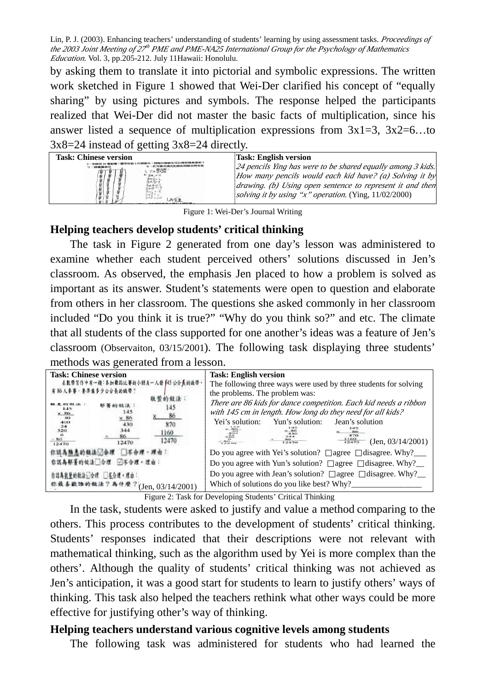by asking them to translate it into pictorial and symbolic expressions. The written work sketched in Figure 1 showed that Wei-Der clarified his concept of "equally" sharing" by using pictures and symbols. The response helped the participants realized that Wei-Der did not master the basic facts of multiplication, since his answer listed a sequence of multiplication expressions from  $3x1=3$ ,  $3x2=6$ ...to 3x8=24 instead of getting 3x8=24 directly.

| <b>Task: Chinese version</b>                                                           | <b>Task: English version</b>                                |
|----------------------------------------------------------------------------------------|-------------------------------------------------------------|
| 2、老師有 24 隻鉛筆・想平分給 3 位模範生・問每位模範生可以得到幾隻筆呢?<br><b>タ、訂用算式填充記錄此問題並將答案</b><br><b>ケ·請畫圖表示</b> | 24 pencils Ying has were to be shared equally among 3 kids. |
| $0, 3x, = 3$                                                                           | How many pencils would each kid have? (a) Solving it by     |
| $3x2=6$<br>$3x3=9$<br>$3x4=12$<br>$3x5=12$                                             | drawing. (b) Using open sentence to represent it and then   |
| $3x/5 = 1$<br>$\frac{8}{9}$<br>$3x7 = 24$<br>A & #                                     | solving it by using " $x$ " operation. (Ying, 11/02/2000)   |

Figure 1: Wei-Der's Journal Writing

# **Helping teachers develop students'critical thinking**

The task in Figure 2 generated from one day's lesson was administered to examine whether each student perceived others' solutions discussed in Jen's classroom. As observed, the emphasis Jen placed to how a problem is solved as important as its answer. Student's statements were open to question and elaborate from others in her classroom. The questions she asked commonly in her classroom included "Do you think it is true?" "Why do you think so?" and etc. The climate that all students of the class supported for one another's ideas was a feature of Jen's classroom (Observaiton, 03/15/2001). The following task displaying three students' methods was generated from a lesson.

| $m$ $\alpha$ $\beta$ $m$ $\alpha$ $\beta$ $m$ $\alpha$ $m$ $\alpha$ $m$ $\alpha$ $m$ $m$ $\alpha$                                                                                                                                                             |                                                                                                                                                                                                                                                                                                                                                                              |  |  |  |
|---------------------------------------------------------------------------------------------------------------------------------------------------------------------------------------------------------------------------------------------------------------|------------------------------------------------------------------------------------------------------------------------------------------------------------------------------------------------------------------------------------------------------------------------------------------------------------------------------------------------------------------------------|--|--|--|
| <b>Task: Chinese version</b><br>在數學習作中有一題: 參加舞蹈比賽的小朋友一人發  45公分長的鍛帶,<br>有86人季赛,要準備多少公分長的繳營?<br>敬誉的做法:<br>的做法:<br>郁菁的做法:<br>145<br>145<br>145<br>$\times$ 86<br>86<br>$\times 86$<br>30<br>$\frac{400}{24}$<br>870<br>430<br>320<br>344<br>1160.<br>86<br>$-80$ | <b>Task: English version</b><br>The following three ways were used by three students for solving<br>the problems. The problem was:<br>There are 86 kids for dance competition. Each kid needs a ribbon<br>with 145 cm in length. How long do they need for all kids?<br>Yun's solution:<br>Jean's solution<br>Yei's solution:<br>1.45<br>$rac{86}{30}$<br>86<br>870<br>32.00 |  |  |  |
| 12470<br>12470<br>12470<br>你認為都菁的做法□合理<br>√不合理,理由<br>你認為教養的做法回合理     不合理。理由:<br>你最喜歡誰的做法?為什麼?<br>(Jen, 03/14/2001)                                                                                                                                            | 1160<br>(Jen, 03/14/2001)<br>$-80$<br>12470<br>Do you agree with Yei's solution?<br>disagree. Why? $\Box$<br>agree<br>Do you agree with Yun's solution?<br>disagree. Why?__<br>agree<br>Do you agree with Jean's solution?<br>disagree. Why? $\Box$<br>agree<br>Which of solutions do you like best? Why?                                                                    |  |  |  |

Figure 2: Task for Developing Students' Critical Thinking

In the task, students were asked to justify and value a method comparing to the others. This process contributes to the development of students' critical thinking. Students' responses indicated that their descriptions were not relevant with mathematical thinking, such as the algorithm used by Yei is more complex than the others'. Although the quality of students' critical thinking was not achieved as Jen's anticipation, it was a good start for students to learn to justify others' ways of thinking. This task also helped the teachers rethink what other ways could be more effective for justifying other's way of thinking.

# **Helping teachers understand various cognitive levels among students**

The following task was administered for students who had learned the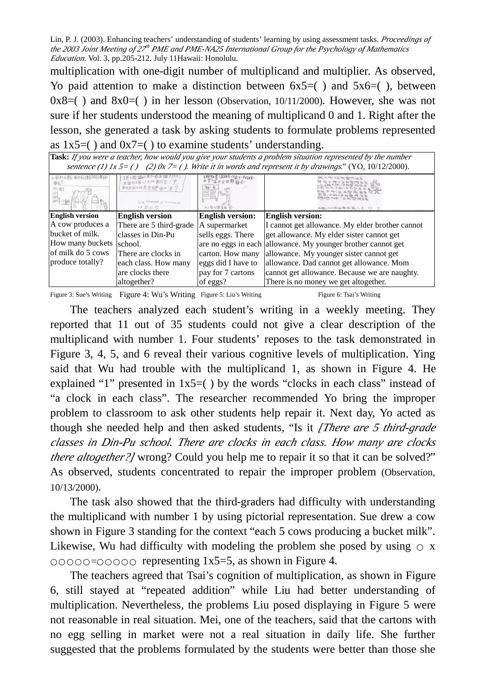multiplication with one-digit number of multiplicand and multiplier. As observed, Yo paid attention to make a distinction between  $6x5=$  ( ) and  $5x6=$  ( ), between  $0x8=$ () and  $8x0=$ () in her lesson (Observation, 10/11/2000). However, she was not sure if her students understood the meaning of multiplicand 0 and 1. Right after the lesson, she generated a task by asking students to formulate problems represented as  $1x5=$  and  $0x7=$  to examine students' understanding.

|                                                                                                              |  |  | <b>Task:</b> If you were a teacher, how would you give your students a problem situation represented by the number |
|--------------------------------------------------------------------------------------------------------------|--|--|--------------------------------------------------------------------------------------------------------------------|
| sentence (1) $1x 5 = (1)(2) 0x 7 = (1)$ . Write it in words and represent it by drawings." (YO, 10/12/2000). |  |  |                                                                                                                    |
|                                                                                                              |  |  | The or the R.O. de Martin or at                                                                                    |

| 父一夏孔千可 从诸督出一种同行为(1)直复书订六可从物门当岁》<br>· 栅钆?<br>$H = 2 M55$ | $\Box \equiv \pm \Box \Box \Box \Box \Box \equiv \top \equiv \top \Box \Box \equiv \top \Box \Box \equiv \top \top \equiv \top$<br>1月1日 第一十五年 青日有尸堂<br>五個型理学一生年 青日有尸堂?<br>$OX^{00000} = 00000$<br>$1\times 5=5$ | 我只有我们就是了我睡觉。<br>A:有 0 個系信 蛋 | 我不平义之有受用金发<br><del>副 不幸 3.9 有電用電路</del><br>- <del>国不幸 3.9 有電用電路</del><br>- 生気不幸 3.9 変用量器<br>5年 キキシス 有写用 金を受賞<br>香色 チキジョカラ 用 金を<br>地地 たれ : タキご用品を<br>★数为口在些来共显;(○ |
|---------------------------------------------------------|-----------------------------------------------------------------------------------------------------------------------------------------------------------------------------------------------------------------|-----------------------------|------------------------------------------------------------------------------------------------------------------------------------------------------------------|
| <b>English version</b>                                  | <b>English version</b>                                                                                                                                                                                          | <b>English version:</b>     | <b>English version:</b>                                                                                                                                          |
| A cow produces a                                        | There are 5 third-grade                                                                                                                                                                                         | A supermarket               | I cannot get allowance. My elder brother cannot                                                                                                                  |
| bucket of milk.                                         | classes in Din-Pu                                                                                                                                                                                               | sells eggs. There           | get allowance. My elder sister cannot get                                                                                                                        |
| How many buckets                                        | school.                                                                                                                                                                                                         |                             | are no eggs in each allowance. My younger brother cannot get                                                                                                     |
| of milk do 5 cows                                       | There are clocks in                                                                                                                                                                                             | carton. How many            | allowance. My younger sister cannot get                                                                                                                          |
| produce totally?                                        | each class. How many                                                                                                                                                                                            | eggs did I have to          | allowance. Dad cannot get allowance. Mom                                                                                                                         |
|                                                         | are clocks there                                                                                                                                                                                                | pay for 7 cartons           | cannot get allowance. Because we are naughty.                                                                                                                    |
|                                                         | altogether?                                                                                                                                                                                                     | of eggs?                    | There is no money we get altogether.                                                                                                                             |
|                                                         |                                                                                                                                                                                                                 |                             |                                                                                                                                                                  |

Figure 3: Sue's Writing Figure 4: Wu's Writing Figure 5: Liu's Writing Figure 6: Tsai's Writing

The teachers analyzed each student's writing in a weekly meeting. They reported that 11 out of 35 students could not give a clear description of the multiplicand with number 1. Four students' reposes to the task demonstrated in Figure 3, 4, 5, and 6 reveal their various cognitive levels of multiplication. Ying said that Wu had trouble with the multiplicand 1, as shown in Figure 4. He explained "1" presented in  $1x5=$  ( ) by the words "clocks in each class" instead of "a clock in each class". The researcher recommended Yo bring the improper problem to classroom to ask other students help repair it. Next day, Yo acted as though she needed help and then asked students, "Is it *[There are 5 third-grade classes in Din-Pu school. There are clocks in each class. How many are clocks there altogether?*/ wrong? Could you help me to repair it so that it can be solved?" As observed, students concentrated to repair the improper problem (Observation, 10/13/2000).

The task also showed that the third-graders had difficulty with understanding the multiplicand with number 1 by using pictorial representation. Sue drew a cow shown in Figure 3 standing for the context "each 5 cows producing a bucket milk". Likewise, Wu had difficulty with modeling the problem she posed by using  $\bar{x}$ 

representing  $1x5=5$ , as shown in Figure 4.

The teachers agreed that Tsai's cognition of multiplication, as shown in Figure 6, still stayed at "repeated addition" while Liu had better understanding of multiplication. Nevertheless, the problems Liu posed displaying in Figure 5 were not reasonable in real situation. Mei, one of the teachers, said that the cartons with no egg selling in market were not a real situation in daily life. She further suggested that the problems formulated by the students were better than those she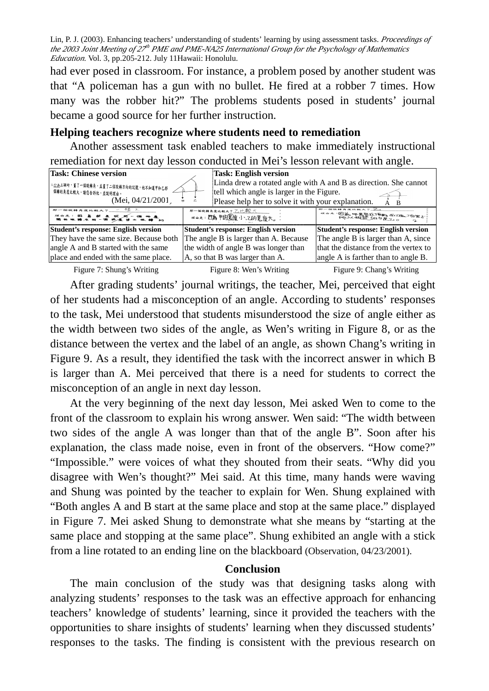had ever posed in classroom. For instance, a problem posed by another student was that "A policeman has a gun with no bullet. He fired at a robber 7 times. How many was the robber hit?" The problems students posed in students' journal became a good source for her further instruction.

# **Helping teachers recognize where students need to remediation**

Another assessment task enabled teachers to make immediately instructional remediation for next day lesson conducted in Mei's lesson relevant with angle.

| <b>Task: Chinese version</b>                                |                                        | <b>Task: English version</b>                                     |                                            |  |
|-------------------------------------------------------------|----------------------------------------|------------------------------------------------------------------|--------------------------------------------|--|
| ,1.少立上课时,董了一個旋轉角,並畫了二個旋轉方向的記號,他不知道甲和乙那<br>(Mei, 04/21/2001, |                                        | Linda drew a rotated angle with A and B as direction. She cannot |                                            |  |
|                                                             |                                        | tell which angle is larger in the Figure.                        |                                            |  |
|                                                             |                                        | Please help her to solve it with your explanation.<br>B<br>A     |                                            |  |
| 理由是:图 篇 都 是 從 厕 - 個 ‰ 急<br>簡 帕 婉 轉,在 同 -個 終 愈 唐 止 焕 樽 【约    | 那一個旋轉角度比較大?乙比較大<br>理由是: 图為甲的愈度小、乙的宽度大。 |                                                                  | $m - m$ departement of $Z_{\Delta}$        |  |
| Student's response: English version                         |                                        | Student's response: English version                              | <b>Student's response: English version</b> |  |
| They have the same size. Because both                       | The angle B is larger than A. Because  |                                                                  | The angle B is larger than A, since        |  |
| angle A and B started with the same                         |                                        | the width of angle B was longer than                             | that the distance from the vertex to       |  |
| place and ended with the same place.                        |                                        | A, so that B was larger than A.                                  | angle A is farther than to angle B.        |  |

Figure 7: Shung's Writing Figure 8: Wen's Writing Figure 9: Chang's Writing

After grading students' journal writings, the teacher, Mei, perceived that eight of her students had a misconception of an angle. According to students' responses to the task, Mei understood that students misunderstood the size of angle either as the width between two sides of the angle, as Wen's writing in Figure 8, or as the distance between the vertex and the label of an angle, as shown Chang's writing in Figure 9. As a result, they identified the task with the incorrect answer in which B is larger than A. Mei perceived that there is a need for students to correct the misconception of an angle in next day lesson.

At the very beginning of the next day lesson, Mei asked Wen to come to the front of the classroom to explain his wrong answer. Wen said: "The width between two sides of the angle A was longer than that of the angle B". Soon after his explanation, the class made noise, even in front of the observers. "How come?" "Impossible." were voices of what they shouted from their seats. "Why did you disagree with Wen's thought?" Mei said. At this time, many hands were waving and Shung was pointed by the teacher to explain for Wen. Shung explained with "Both angles A and B start at the same place and stop at the same place." displayed in Figure 7. Mei asked Shung to demonstrate what she means by "starting at the same place and stopping at the same place". Shung exhibited an angle with a stick from a line rotated to an ending line on the blackboard (Observation, 04/23/2001).

# **Conclusion**

The main conclusion of the study was that designing tasks along with analyzing students' responses to the task was an effective approach for enhancing teachers' knowledge of students' learning, since it provided the teachers with the opportunities to share insights of students' learning when they discussed students' responses to the tasks. The finding is consistent with the previous research on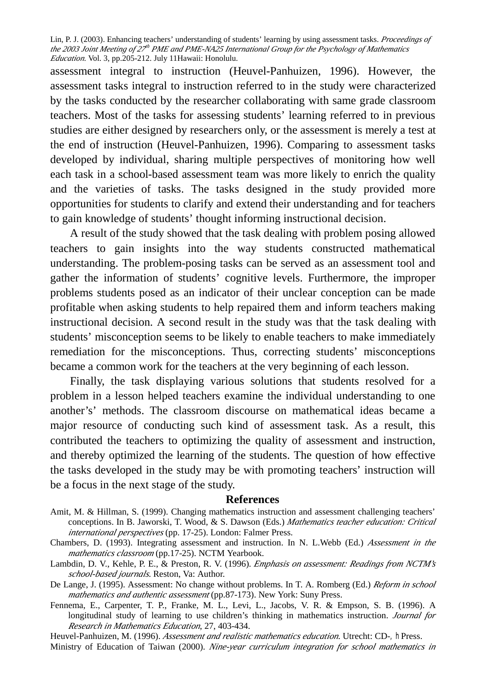assessment integral to instruction (Heuvel-Panhuizen, 1996). However, the assessment tasks integral to instruction referred to in the study were characterized by the tasks conducted by the researcher collaborating with same grade classroom teachers. Most of the tasks for assessing students' learning referred to in previous studies are either designed by researchers only, or the assessment is merely a test at the end of instruction (Heuvel-Panhuizen, 1996). Comparing to assessment tasks developed by individual, sharing multiple perspectives of monitoring how well each task in a school-based assessment team was more likely to enrich the quality and the varieties of tasks. The tasks designed in the study provided more opportunities for students to clarify and extend their understanding and for teachers to gain knowledge of students' thought informing instructional decision.

A result of the study showed that the task dealing with problem posing allowed teachers to gain insights into the way students constructed mathematical understanding. The problem-posing tasks can be served as an assessment tool and gather the information of students' cognitive levels. Furthermore, the improper problems students posed as an indicator of their unclear conception can be made profitable when asking students to help repaired them and inform teachers making instructional decision. A second result in the study was that the task dealing with students' misconception seems to be likely to enable teachers to make immediately remediation for the misconceptions. Thus, correcting students' misconceptions became a common work for the teachers at the very beginning of each lesson.

Finally, the task displaying various solutions that students resolved for a problem in a lesson helped teachers examine the individual understanding to one another's' methods. The classroom discourse on mathematical ideas became a major resource of conducting such kind of assessment task. As a result, this contributed the teachers to optimizing the quality of assessment and instruction, and thereby optimized the learning of the students. The question of how effective the tasks developed in the study may be with promoting teachers' instruction will be a focus in the next stage of the study.

#### **References**

Heuvel-Panhuizen, M. (1996). *Assessment and realistic mathematics education*. Utrecht: CD-âhPress.

Amit, M. & Hillman, S. (1999). Changing mathematics instruction and assessment challenging teachers' conceptions. In B. Jaworski, T. Wood, & S. Dawson (Eds.) *Mathematics teacher education: Critical international perspectives* (pp. 17-25). London: Falmer Press.

Chambers, D. (1993). Integrating assessment and instruction. In N. L.Webb (Ed.) *Assessment in the mathematics classroom* (pp.17-25). NCTM Yearbook.

Lambdin, D. V., Kehle, P. E., & Preston, R. V. (1996). *Emphasis on assessment: Readings from NCTM's school-based journals*. Reston, Va: Author.

De Lange, J. (1995). Assessment: No change without problems. In T. A. Romberg (Ed.) *Reform in school mathematics and authentic assessment* (pp.87-173). New York: Suny Press.

Fennema, E., Carpenter, T. P., Franke, M. L., Levi, L., Jacobs, V. R. & Empson, S. B. (1996). A longitudinal study of learning to use children's thinking in mathematics instruction. *Journal for Research in Mathematics Education*, 27, 403-434.

Ministry of Education of Taiwan (2000). *Nine-year curriculum integration for school mathematics in*